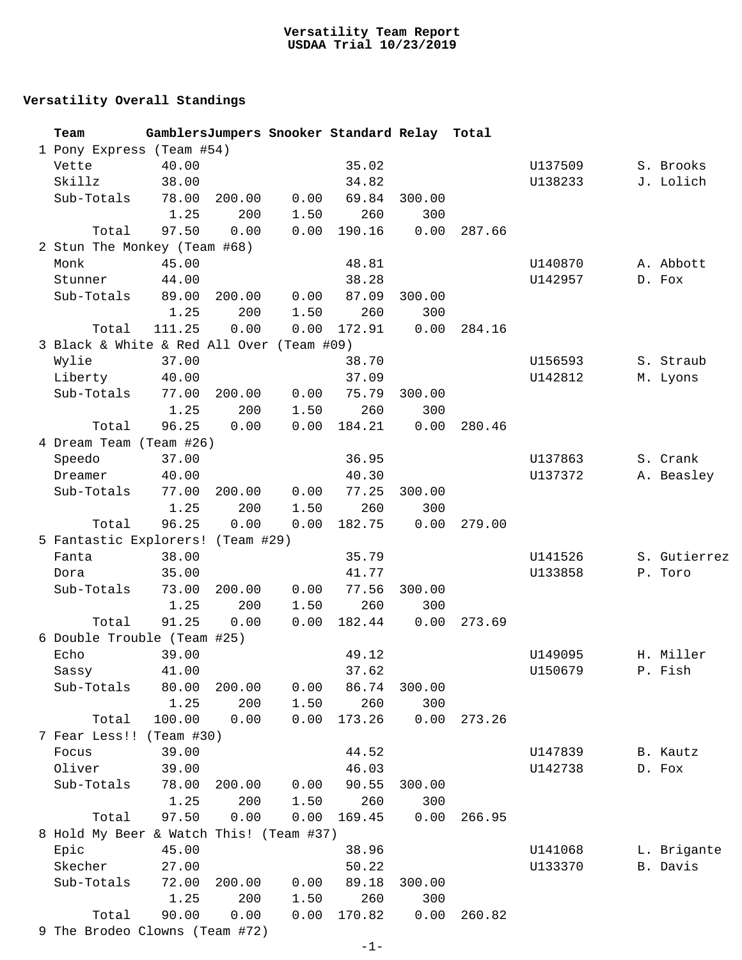## **Versatility Team Report USDAA Trial 10/23/2019**

## **Versatility Overall Standings**

| Team                                      |        |        |      | GamblersJumpers Snooker Standard Relay Total |        |        |         |              |
|-------------------------------------------|--------|--------|------|----------------------------------------------|--------|--------|---------|--------------|
| 1 Pony Express (Team #54)                 |        |        |      |                                              |        |        |         |              |
| Vette                                     | 40.00  |        |      | 35.02                                        |        |        | U137509 | S. Brooks    |
| Skillz                                    | 38.00  |        |      | 34.82                                        |        |        | U138233 | J. Lolich    |
| Sub-Totals                                | 78.00  | 200.00 | 0.00 | 69.84                                        | 300.00 |        |         |              |
|                                           | 1.25   | 200    | 1.50 | 260                                          | 300    |        |         |              |
| Total                                     | 97.50  | 0.00   | 0.00 | 190.16                                       | 0.00   | 287.66 |         |              |
| 2 Stun The Monkey (Team #68)              |        |        |      |                                              |        |        |         |              |
| Monk                                      | 45.00  |        |      | 48.81                                        |        |        | U140870 | A. Abbott    |
| Stunner                                   | 44.00  |        |      | 38.28                                        |        |        | U142957 | D. Fox       |
| Sub-Totals                                | 89.00  | 200.00 | 0.00 | 87.09                                        | 300.00 |        |         |              |
|                                           | 1.25   | 200    | 1.50 | 260                                          | 300    |        |         |              |
| Total                                     | 111.25 | 0.00   | 0.00 | 172.91                                       | 0.00   | 284.16 |         |              |
| 3 Black & White & Red All Over (Team #09) |        |        |      |                                              |        |        |         |              |
| Wylie                                     | 37.00  |        |      | 38.70                                        |        |        | U156593 | S. Straub    |
| Liberty                                   | 40.00  |        |      | 37.09                                        |        |        | U142812 | M. Lyons     |
| Sub-Totals                                | 77.00  | 200.00 | 0.00 | 75.79                                        | 300.00 |        |         |              |
|                                           | 1.25   | 200    | 1.50 | 260                                          | 300    |        |         |              |
| Total                                     | 96.25  | 0.00   | 0.00 | 184.21                                       | 0.00   | 280.46 |         |              |
| 4 Dream Team (Team #26)                   |        |        |      |                                              |        |        |         |              |
| Speedo                                    | 37.00  |        |      | 36.95                                        |        |        | U137863 | S. Crank     |
| Dreamer                                   | 40.00  |        |      | 40.30                                        |        |        | U137372 | A. Beasley   |
| Sub-Totals                                | 77.00  | 200.00 | 0.00 | 77.25                                        | 300.00 |        |         |              |
|                                           | 1.25   | 200    | 1.50 | 260                                          | 300    |        |         |              |
| Total                                     | 96.25  | 0.00   | 0.00 | 182.75                                       | 0.00   | 279.00 |         |              |
| 5 Fantastic Explorers! (Team #29)         |        |        |      |                                              |        |        |         |              |
| Fanta                                     | 38.00  |        |      | 35.79                                        |        |        | U141526 | S. Gutierrez |
| Dora                                      | 35.00  |        |      | 41.77                                        |        |        | U133858 | P. Toro      |
| Sub-Totals                                | 73.00  | 200.00 | 0.00 | 77.56                                        | 300.00 |        |         |              |
|                                           | 1.25   | 200    | 1.50 | 260                                          | 300    |        |         |              |
| Total                                     | 91.25  | 0.00   | 0.00 | 182.44                                       | 0.00   | 273.69 |         |              |
| 6 Double Trouble (Team #25)               |        |        |      |                                              |        |        |         |              |
| Echo                                      | 39.00  |        |      | 49.12                                        |        |        | U149095 | H. Miller    |
| Sassy                                     | 41.00  |        |      | 37.62                                        |        |        | U150679 | P. Fish      |
| Sub-Totals                                | 80.00  | 200.00 | 0.00 | 86.74                                        | 300.00 |        |         |              |
|                                           | 1.25   | 200    | 1.50 | 260                                          | 300    |        |         |              |
| Total                                     | 100.00 | 0.00   | 0.00 | 173.26                                       | 0.00   | 273.26 |         |              |
| 7 Fear Less!! (Team #30)                  |        |        |      |                                              |        |        |         |              |
| Focus                                     | 39.00  |        |      | 44.52                                        |        |        | U147839 | B. Kautz     |
| Oliver                                    | 39.00  |        |      | 46.03                                        |        |        | U142738 | D. Fox       |
| Sub-Totals                                | 78.00  | 200.00 | 0.00 | 90.55                                        | 300.00 |        |         |              |
|                                           | 1.25   | 200    | 1.50 | 260                                          | 300    |        |         |              |
| Total                                     | 97.50  | 0.00   | 0.00 | 169.45                                       | 0.00   | 266.95 |         |              |
| 8 Hold My Beer & Watch This! (Team #37)   |        |        |      |                                              |        |        |         |              |
| Epic                                      | 45.00  |        |      | 38.96                                        |        |        | U141068 | L. Brigante  |
| Skecher                                   | 27.00  |        |      | 50.22                                        |        |        | U133370 | B. Davis     |
| Sub-Totals                                | 72.00  | 200.00 | 0.00 | 89.18                                        | 300.00 |        |         |              |
|                                           | 1.25   | 200    | 1.50 | 260                                          | 300    |        |         |              |
|                                           |        |        |      |                                              |        |        |         |              |
| Total                                     | 90.00  | 0.00   | 0.00 | 170.82                                       | 0.00   | 260.82 |         |              |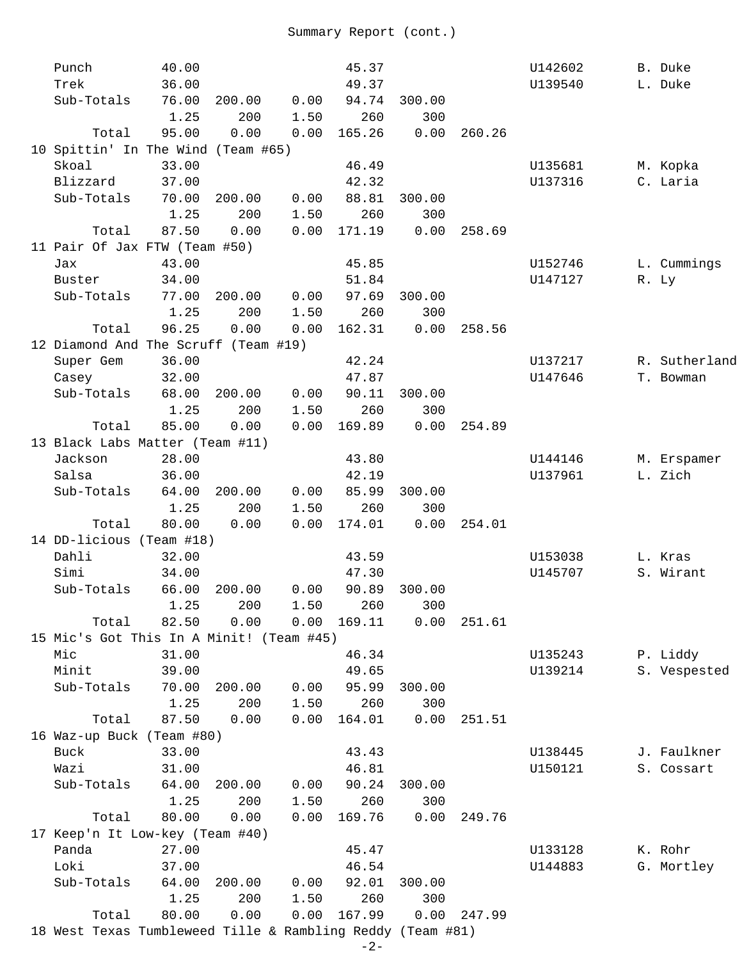| Punch                                                      | 40.00 |        |      | 45.37       |         |        | U142602 | B. Duke       |
|------------------------------------------------------------|-------|--------|------|-------------|---------|--------|---------|---------------|
| Trek                                                       | 36.00 |        |      | 49.37       |         |        | U139540 | L. Duke       |
| Sub-Totals                                                 | 76.00 | 200.00 | 0.00 | 94.74       | 300.00  |        |         |               |
|                                                            | 1.25  | 200    | 1.50 | 260         | 300     |        |         |               |
| Total                                                      | 95.00 | 0.00   | 0.00 | 165.26      | 0.00    | 260.26 |         |               |
| 10 Spittin' In The Wind (Team #65)                         |       |        |      |             |         |        |         |               |
| Skoal                                                      | 33.00 |        |      | 46.49       |         |        | U135681 | M. Kopka      |
| Blizzard                                                   | 37.00 |        |      | 42.32       |         |        | U137316 | C. Laria      |
| Sub-Totals                                                 | 70.00 | 200.00 | 0.00 | 88.81       | 300.00  |        |         |               |
|                                                            | 1.25  | 200    | 1.50 | 260         | 300     |        |         |               |
| Total                                                      | 87.50 | 0.00   | 0.00 | 171.19      | 0.00    | 258.69 |         |               |
| 11 Pair Of Jax FTW (Team #50)                              |       |        |      |             |         |        |         |               |
| Jax                                                        | 43.00 |        |      | 45.85       |         |        | U152746 | L. Cummings   |
| Buster                                                     | 34.00 |        |      | 51.84       |         |        | U147127 | R. Ly         |
| Sub-Totals                                                 | 77.00 | 200.00 | 0.00 | 97.69       | 300.00  |        |         |               |
|                                                            | 1.25  | 200    | 1.50 | 260         | 300     |        |         |               |
| Total                                                      | 96.25 | 0.00   | 0.00 | 162.31      | 0.00    | 258.56 |         |               |
| 12 Diamond And The Scruff (Team #19)                       |       |        |      |             |         |        |         |               |
|                                                            |       |        |      |             |         |        |         | R. Sutherland |
| Super Gem                                                  | 36.00 |        |      | 42.24       |         |        | U137217 |               |
| Casey                                                      | 32.00 |        |      | 47.87       |         |        | U147646 | T. Bowman     |
| Sub-Totals                                                 | 68.00 | 200.00 | 0.00 | 90.11       | 300.00  |        |         |               |
|                                                            | 1.25  | 200    | 1.50 | 260         | 300     |        |         |               |
| Total                                                      | 85.00 | 0.00   | 0.00 | 169.89      | 0.00    | 254.89 |         |               |
| 13 Black Labs Matter (Team #11)                            |       |        |      |             |         |        |         |               |
| Jackson                                                    | 28.00 |        |      | 43.80       |         |        | U144146 | M. Erspamer   |
| Salsa                                                      | 36.00 |        |      | 42.19       |         |        | U137961 | L. Zich       |
| Sub-Totals                                                 | 64.00 | 200.00 | 0.00 | 85.99       | 300.00  |        |         |               |
|                                                            | 1.25  | 200    | 1.50 | 260         | 300     |        |         |               |
| Total                                                      | 80.00 | 0.00   | 0.00 | 174.01      | 0.00    | 254.01 |         |               |
| 14 DD-licious (Team #18)                                   |       |        |      |             |         |        |         |               |
| Dahli                                                      | 32.00 |        |      | 43.59       |         |        | U153038 | L. Kras       |
| Simi                                                       | 34.00 |        |      | 47.30       |         |        | U145707 | S. Wirant     |
| Sub-Totals                                                 | 66.00 | 200.00 | 0.00 | 90.89       | 300.00  |        |         |               |
|                                                            | 1.25  | 200    | 1.50 |             | 260 300 |        |         |               |
| Total                                                      | 82.50 | 0.00   |      | 0.00 169.11 | 0.00    | 251.61 |         |               |
| 15 Mic's Got This In A Minit! (Team #45)                   |       |        |      |             |         |        |         |               |
| Mic                                                        | 31.00 |        |      | 46.34       |         |        | U135243 | P. Liddy      |
| Minit                                                      | 39.00 |        |      | 49.65       |         |        | U139214 | S. Vespested  |
| Sub-Totals                                                 | 70.00 | 200.00 | 0.00 | 95.99       | 300.00  |        |         |               |
|                                                            | 1.25  | 200    | 1.50 | 260         | 300     |        |         |               |
| Total                                                      | 87.50 | 0.00   | 0.00 | 164.01      | 0.00    | 251.51 |         |               |
| 16 Waz-up Buck (Team #80)                                  |       |        |      |             |         |        |         |               |
| Buck                                                       | 33.00 |        |      | 43.43       |         |        | U138445 | J. Faulkner   |
| Wazi                                                       | 31.00 |        |      | 46.81       |         |        | U150121 | S. Cossart    |
| Sub-Totals                                                 | 64.00 | 200.00 | 0.00 | 90.24       | 300.00  |        |         |               |
|                                                            | 1.25  | 200    | 1.50 | 260         | 300     |        |         |               |
| Total                                                      | 80.00 | 0.00   | 0.00 | 169.76      | 0.00    | 249.76 |         |               |
|                                                            |       |        |      |             |         |        |         |               |
| 17 Keep'n It Low-key (Team #40)                            |       |        |      |             |         |        |         |               |
| Panda                                                      | 27.00 |        |      | 45.47       |         |        | U133128 | K. Rohr       |
| Loki                                                       | 37.00 |        |      | 46.54       |         |        | U144883 | G. Mortley    |
| Sub-Totals                                                 | 64.00 | 200.00 | 0.00 | 92.01       | 300.00  |        |         |               |
|                                                            | 1.25  | 200    | 1.50 | 260         | 300     |        |         |               |
| Total                                                      | 80.00 | 0.00   | 0.00 | 167.99      | 0.00    | 247.99 |         |               |
| 18 West Texas Tumbleweed Tille & Rambling Reddy (Team #81) |       |        |      |             |         |        |         |               |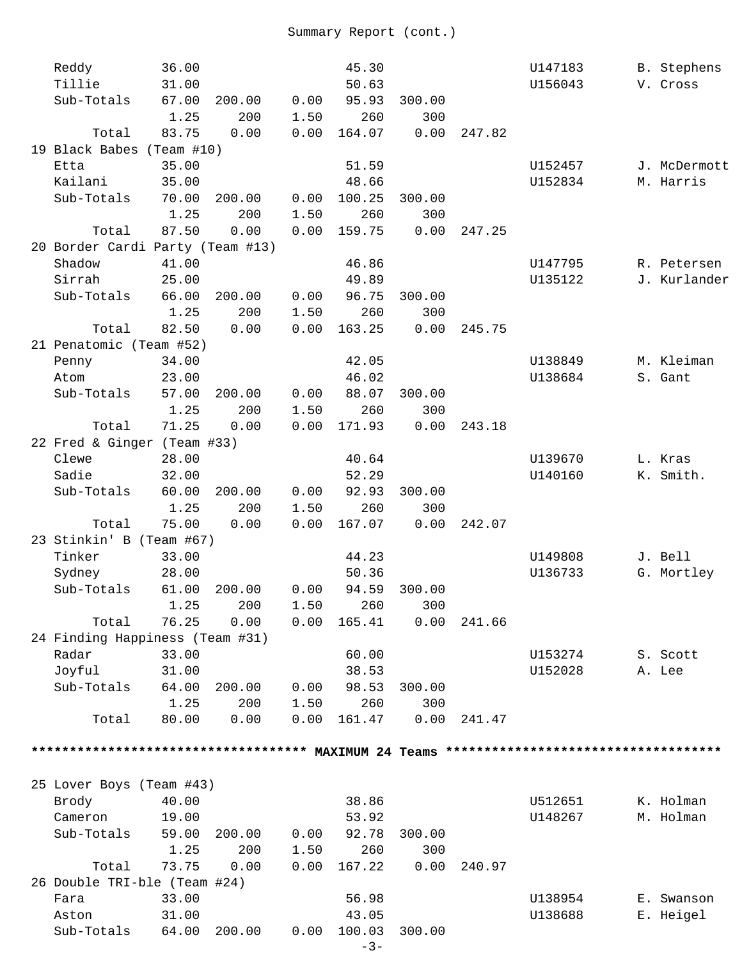| Reddy                            | 36.00 |              |      | 45.30                    |        |        | U147183 | B. Stephens  |
|----------------------------------|-------|--------------|------|--------------------------|--------|--------|---------|--------------|
| Tillie                           | 31.00 |              |      | 50.63                    |        |        | U156043 | V. Cross     |
| Sub-Totals                       | 67.00 | 200.00       | 0.00 | 95.93                    | 300.00 |        |         |              |
|                                  | 1.25  | 200          | 1.50 | 260                      | 300    |        |         |              |
| Total                            | 83.75 | 0.00         | 0.00 | 164.07                   | 0.00   | 247.82 |         |              |
| 19 Black Babes (Team #10)        |       |              |      |                          |        |        |         |              |
| Etta                             | 35.00 |              |      | 51.59                    |        |        | U152457 | J. McDermott |
| Kailani                          | 35.00 |              |      | 48.66                    |        |        | U152834 | M. Harris    |
| Sub-Totals                       | 70.00 | 200.00       | 0.00 | 100.25                   | 300.00 |        |         |              |
|                                  | 1.25  | 200          | 1.50 | 260                      | 300    |        |         |              |
| Total                            | 87.50 | 0.00         | 0.00 | 159.75                   | 0.00   | 247.25 |         |              |
| 20 Border Cardi Party (Team #13) |       |              |      |                          |        |        |         |              |
| Shadow                           | 41.00 |              |      | 46.86                    |        |        | U147795 | R. Petersen  |
| Sirrah                           | 25.00 |              |      | 49.89                    |        |        | U135122 | J. Kurlander |
| Sub-Totals                       | 66.00 | 200.00       | 0.00 | 96.75                    | 300.00 |        |         |              |
|                                  | 1.25  | 200          | 1.50 | 260                      | 300    |        |         |              |
| Total                            | 82.50 | 0.00         | 0.00 | 163.25                   | 0.00   | 245.75 |         |              |
| 21 Penatomic (Team #52)          |       |              |      |                          |        |        |         |              |
| Penny                            | 34.00 |              |      | 42.05                    |        |        | U138849 | M. Kleiman   |
| Atom                             | 23.00 |              |      | 46.02                    |        |        | U138684 | S. Gant      |
| Sub-Totals                       | 57.00 | 200.00       | 0.00 | 88.07                    | 300.00 |        |         |              |
|                                  | 1.25  | 200          | 1.50 | 260                      | 300    |        |         |              |
| Total                            | 71.25 | 0.00         | 0.00 | 171.93                   | 0.00   | 243.18 |         |              |
| 22 Fred & Ginger (Team #33)      |       |              |      |                          |        |        |         |              |
| Clewe                            | 28.00 |              |      | 40.64                    |        |        | U139670 | L. Kras      |
| Sadie                            | 32.00 |              |      | 52.29                    |        |        | U140160 | K. Smith.    |
| Sub-Totals                       | 60.00 | 200.00       | 0.00 | 92.93                    | 300.00 |        |         |              |
|                                  | 1.25  | 200          | 1.50 | 260                      | 300    |        |         |              |
| Total                            | 75.00 | 0.00         | 0.00 | 167.07                   | 0.00   | 242.07 |         |              |
| 23 Stinkin' B (Team #67)         |       |              |      |                          |        |        |         |              |
| Tinker                           | 33.00 |              |      | 44.23                    |        |        | U149808 | J. Bell      |
| Sydney                           | 28.00 |              |      | 50.36                    |        |        | U136733 | G. Mortley   |
| Sub-Totals                       | 61.00 | 200.00       | 0.00 | 94.59                    | 300.00 |        |         |              |
|                                  | 1.25  | 200          | 1.50 | 260                      | 300    |        |         |              |
| Total                            | 76.25 | 0.00         | 0.00 | 165.41                   | 0.00   | 241.66 |         |              |
| 24 Finding Happiness (Team #31)  |       |              |      |                          |        |        |         |              |
| Radar                            | 33.00 |              |      | 60.00                    |        |        | U153274 | S. Scott     |
| Joyful                           | 31.00 |              |      | 38.53                    |        |        | U152028 | A. Lee       |
| Sub-Totals                       | 64.00 | 200.00       | 0.00 | 98.53                    | 300.00 |        |         |              |
|                                  | 1.25  | 200          | 1.50 | 260                      | 300    |        |         |              |
| Total                            | 80.00 | 0.00         | 0.00 | 161.47                   | 0.00   | 241.47 |         |              |
|                                  |       |              |      |                          |        |        |         |              |
|                                  |       |              |      |                          |        |        |         |              |
|                                  |       |              |      |                          |        |        |         |              |
| 25 Lover Boys (Team #43)         |       |              |      |                          |        |        |         |              |
| Brody                            | 40.00 |              |      | 38.86                    |        |        | U512651 | K. Holman    |
| Cameron                          | 19.00 |              |      | 53.92                    |        |        | U148267 | M. Holman    |
| Sub-Totals                       | 59.00 | 200.00       | 0.00 | 92.78                    | 300.00 |        |         |              |
|                                  | 1.25  | 200          | 1.50 | 260                      | 300    |        |         |              |
| Total                            | 73.75 | 0.00         | 0.00 | 167.22                   | 0.00   | 240.97 |         |              |
| 26 Double TRI-ble (Team #24)     |       |              |      |                          |        |        |         |              |
| Fara                             | 33.00 |              |      | 56.98                    |        |        | U138954 | E. Swanson   |
| Aston                            | 31.00 |              |      | 43.05                    |        |        | U138688 | E. Heigel    |
| Sub-Totals                       |       | 64.00 200.00 |      | $0.00$ $100.03$ $300.00$ |        |        |         |              |

-3-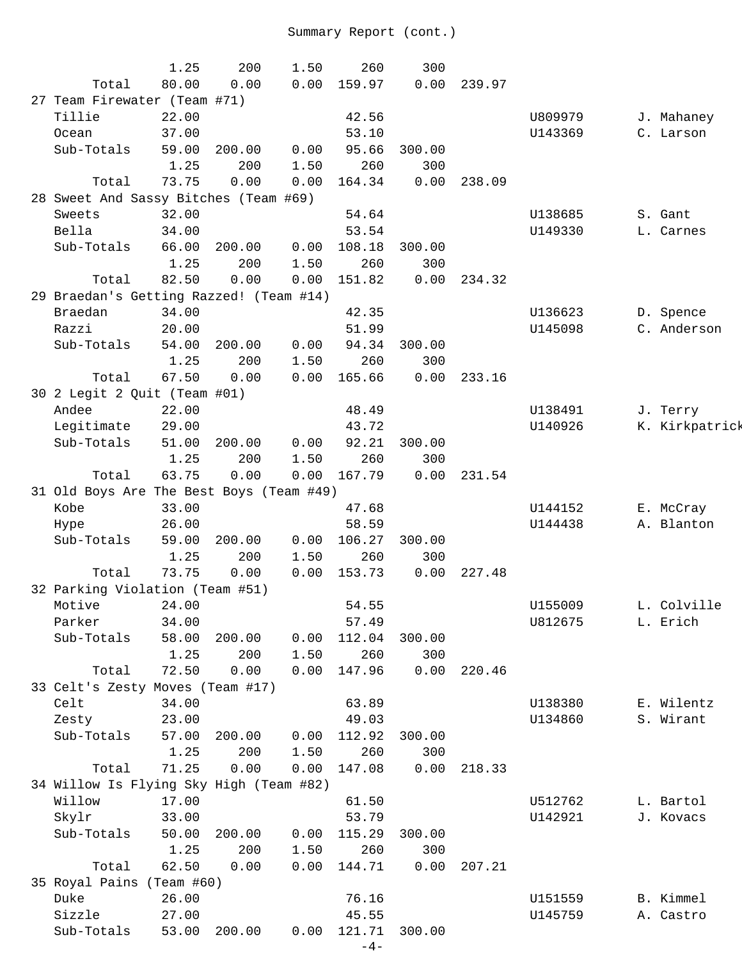|                                          | 1.25  | 200    | 1.50 | 260    | 300    |        |         |                |
|------------------------------------------|-------|--------|------|--------|--------|--------|---------|----------------|
| Total                                    | 80.00 | 0.00   | 0.00 | 159.97 | 0.00   | 239.97 |         |                |
| 27 Team Firewater (Team #71)             |       |        |      |        |        |        |         |                |
| Tillie                                   | 22.00 |        |      | 42.56  |        |        | U809979 | J. Mahaney     |
| Ocean                                    | 37.00 |        |      | 53.10  |        |        | U143369 | C. Larson      |
| Sub-Totals                               | 59.00 | 200.00 | 0.00 | 95.66  | 300.00 |        |         |                |
|                                          | 1.25  | 200    | 1.50 | 260    | 300    |        |         |                |
| Total                                    | 73.75 | 0.00   | 0.00 | 164.34 | 0.00   | 238.09 |         |                |
| 28 Sweet And Sassy Bitches (Team #69)    |       |        |      |        |        |        |         |                |
| Sweets                                   | 32.00 |        |      | 54.64  |        |        | U138685 | S. Gant        |
| Bella                                    | 34.00 |        |      | 53.54  |        |        | U149330 | L. Carnes      |
| Sub-Totals                               | 66.00 | 200.00 | 0.00 | 108.18 | 300.00 |        |         |                |
|                                          | 1.25  | 200    | 1.50 | 260    | 300    |        |         |                |
| Total                                    | 82.50 | 0.00   | 0.00 | 151.82 | 0.00   | 234.32 |         |                |
| 29 Braedan's Getting Razzed! (Team #14)  |       |        |      |        |        |        |         |                |
| Braedan                                  | 34.00 |        |      | 42.35  |        |        | U136623 | D. Spence      |
| Razzi                                    | 20.00 |        |      | 51.99  |        |        | U145098 | C. Anderson    |
| Sub-Totals                               | 54.00 | 200.00 | 0.00 | 94.34  | 300.00 |        |         |                |
|                                          | 1.25  | 200    | 1.50 | 260    | 300    |        |         |                |
| Total                                    | 67.50 | 0.00   | 0.00 | 165.66 | 0.00   | 233.16 |         |                |
| 30 2 Legit 2 Quit (Team #01)             |       |        |      |        |        |        |         |                |
| Andee                                    | 22.00 |        |      | 48.49  |        |        | U138491 | J. Terry       |
| Legitimate                               | 29.00 |        |      | 43.72  |        |        | U140926 | K. Kirkpatrick |
| Sub-Totals                               | 51.00 | 200.00 | 0.00 | 92.21  | 300.00 |        |         |                |
|                                          | 1.25  | 200    | 1.50 | 260    | 300    |        |         |                |
| Total                                    | 63.75 | 0.00   | 0.00 | 167.79 | 0.00   | 231.54 |         |                |
| 31 Old Boys Are The Best Boys (Team #49) |       |        |      |        |        |        |         |                |
| Kobe                                     | 33.00 |        |      | 47.68  |        |        | U144152 | E. McCray      |
| Hype                                     | 26.00 |        |      | 58.59  |        |        | U144438 | A. Blanton     |
| Sub-Totals                               | 59.00 | 200.00 | 0.00 | 106.27 | 300.00 |        |         |                |
|                                          | 1.25  | 200    | 1.50 | 260    | 300    |        |         |                |
| Total                                    | 73.75 | 0.00   | 0.00 | 153.73 | 0.00   | 227.48 |         |                |
| 32 Parking Violation (Team #51)          |       |        |      |        |        |        |         |                |
| Motive 24.00                             |       |        |      | 54.55  |        |        | U155009 | L. Colville    |
| Parker                                   | 34.00 |        |      | 57.49  |        |        | U812675 | L. Erich       |
| Sub-Totals                               | 58.00 | 200.00 | 0.00 | 112.04 | 300.00 |        |         |                |
|                                          | 1.25  | 200    | 1.50 | 260    | 300    |        |         |                |
| Total                                    | 72.50 | 0.00   | 0.00 | 147.96 | 0.00   | 220.46 |         |                |
| 33 Celt's Zesty Moves (Team #17)         |       |        |      |        |        |        |         |                |
| Celt                                     | 34.00 |        |      | 63.89  |        |        | U138380 | E. Wilentz     |
| Zesty                                    | 23.00 |        |      | 49.03  |        |        | U134860 | S. Wirant      |
| Sub-Totals                               | 57.00 | 200.00 | 0.00 | 112.92 | 300.00 |        |         |                |
|                                          | 1.25  | 200    | 1.50 | 260    | 300    |        |         |                |
| Total                                    | 71.25 | 0.00   | 0.00 | 147.08 | 0.00   | 218.33 |         |                |
| 34 Willow Is Flying Sky High (Team #82)  |       |        |      |        |        |        |         |                |
| Willow                                   | 17.00 |        |      | 61.50  |        |        | U512762 | L. Bartol      |
| Skylr                                    | 33.00 |        |      | 53.79  |        |        | U142921 | J. Kovacs      |
| Sub-Totals                               | 50.00 | 200.00 | 0.00 | 115.29 | 300.00 |        |         |                |
|                                          | 1.25  | 200    | 1.50 | 260    | 300    |        |         |                |
| Total                                    | 62.50 | 0.00   | 0.00 | 144.71 | 0.00   | 207.21 |         |                |
| 35 Royal Pains (Team #60)                |       |        |      |        |        |        |         |                |
| Duke                                     | 26.00 |        |      | 76.16  |        |        | U151559 | B. Kimmel      |
| Sizzle                                   | 27.00 |        |      | 45.55  |        |        | U145759 | A. Castro      |
| Sub-Totals                               | 53.00 | 200.00 | 0.00 | 121.71 | 300.00 |        |         |                |
|                                          |       |        |      | $-4-$  |        |        |         |                |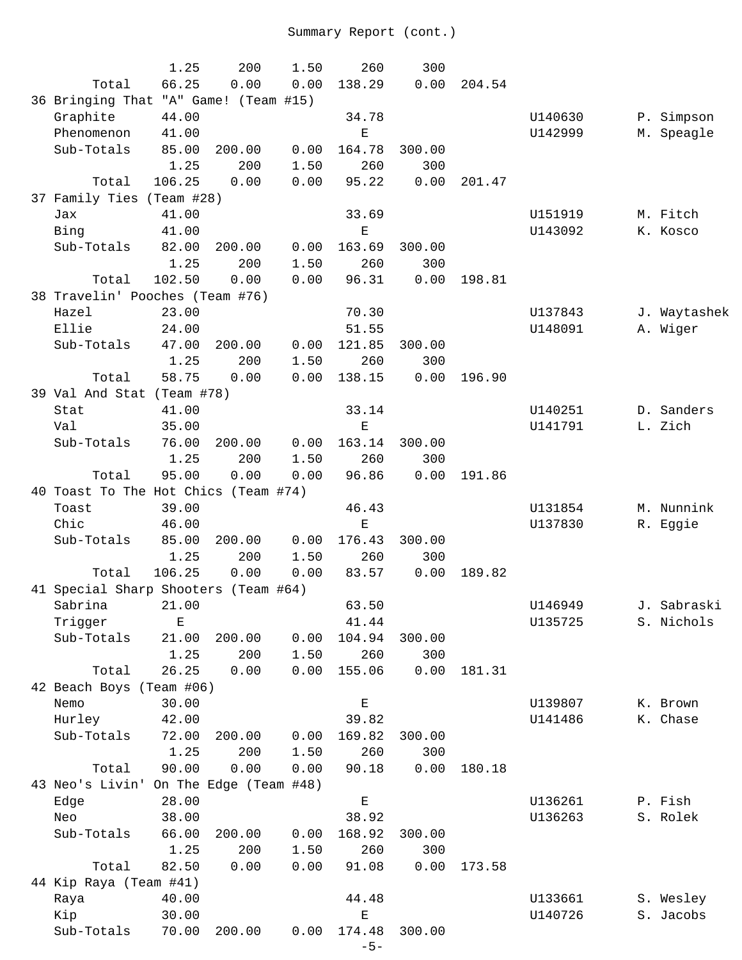|                                       | 1.25   | 200                    | 1.50 | 260         | 300    |        |         |              |
|---------------------------------------|--------|------------------------|------|-------------|--------|--------|---------|--------------|
| Total                                 | 66.25  | 0.00                   | 0.00 | 138.29      | 0.00   | 204.54 |         |              |
| 36 Bringing That "A" Game! (Team #15) |        |                        |      |             |        |        |         |              |
| Graphite                              | 44.00  |                        |      | 34.78       |        |        | U140630 | P. Simpson   |
| Phenomenon                            | 41.00  |                        |      | $\mathbf E$ |        |        | U142999 | M. Speagle   |
| Sub-Totals                            | 85.00  | 200.00                 | 0.00 | 164.78      | 300.00 |        |         |              |
|                                       | 1.25   | 200                    | 1.50 | 260         | 300    |        |         |              |
| Total                                 | 106.25 | 0.00                   | 0.00 | 95.22       | 0.00   | 201.47 |         |              |
| 37 Family Ties (Team #28)             |        |                        |      |             |        |        |         |              |
| Jax                                   | 41.00  |                        |      | 33.69       |        |        | U151919 | M. Fitch     |
| Bing                                  | 41.00  |                        |      | $\mathbf E$ |        |        | U143092 | K. Kosco     |
| Sub-Totals                            | 82.00  | 200.00                 | 0.00 | 163.69      | 300.00 |        |         |              |
|                                       | 1.25   | 200                    | 1.50 | 260         | 300    |        |         |              |
| Total                                 | 102.50 | 0.00                   | 0.00 | 96.31       | 0.00   | 198.81 |         |              |
| 38 Travelin' Pooches (Team #76)       |        |                        |      |             |        |        |         |              |
| Hazel                                 | 23.00  |                        |      | 70.30       |        |        | U137843 | J. Waytashek |
| Ellie                                 | 24.00  |                        |      | 51.55       |        |        | U148091 | A. Wiger     |
| Sub-Totals                            | 47.00  | 200.00                 | 0.00 | 121.85      | 300.00 |        |         |              |
|                                       | 1.25   | 200                    | 1.50 | 260         | 300    |        |         |              |
| Total                                 | 58.75  | 0.00                   | 0.00 | 138.15      | 0.00   | 196.90 |         |              |
| 39 Val And Stat (Team #78)            |        |                        |      |             |        |        |         |              |
| Stat                                  | 41.00  |                        |      | 33.14       |        |        | U140251 | D. Sanders   |
| Val                                   | 35.00  |                        |      | $\mathbf E$ |        |        | U141791 | L. Zich      |
| Sub-Totals                            | 76.00  | 200.00                 | 0.00 | 163.14      | 300.00 |        |         |              |
|                                       | 1.25   | 200                    | 1.50 | 260         | 300    |        |         |              |
| Total                                 | 95.00  | 0.00                   | 0.00 | 96.86       | 0.00   | 191.86 |         |              |
| 40 Toast To The Hot Chics (Team #74)  |        |                        |      |             |        |        |         |              |
| Toast                                 | 39.00  |                        |      | 46.43       |        |        | U131854 | M. Nunnink   |
| Chic                                  | 46.00  |                        |      | Ε           |        |        | U137830 | R. Eggie     |
| Sub-Totals                            | 85.00  | 200.00                 | 0.00 | 176.43      | 300.00 |        |         |              |
|                                       | 1.25   | 200                    | 1.50 | 260         | 300    |        |         |              |
| Total                                 | 106.25 | 0.00                   | 0.00 | 83.57       | 0.00   | 189.82 |         |              |
| 41 Special Sharp Shooters (Team #64)  |        |                        |      |             |        |        |         |              |
| Sabrina 21.00                         |        |                        |      | 63.50       |        |        | U146949 | J. Sabraski  |
| Trigger                               | Е      |                        |      | 41.44       |        |        | U135725 | S. Nichols   |
| Sub-Totals                            | 21.00  | 200.00                 | 0.00 | 104.94      | 300.00 |        |         |              |
|                                       | 1.25   | 200                    | 1.50 | 260         | 300    |        |         |              |
| Total                                 | 26.25  | 0.00                   | 0.00 | 155.06      | 0.00   | 181.31 |         |              |
| 42 Beach Boys (Team #06)              |        |                        |      |             |        |        |         |              |
| Nemo                                  | 30.00  |                        |      | $\mathbf E$ |        |        | U139807 | K. Brown     |
| Hurley                                | 42.00  |                        |      | 39.82       |        |        | U141486 | K. Chase     |
| Sub-Totals                            | 72.00  | 200.00                 | 0.00 | 169.82      | 300.00 |        |         |              |
|                                       | 1.25   | 200                    | 1.50 | 260         | 300    |        |         |              |
| Total                                 | 90.00  | 0.00                   | 0.00 | 90.18       | 0.00   | 180.18 |         |              |
| 43 Neo's Livin'                       |        | On The Edge (Team #48) |      |             |        |        |         |              |
| Edge                                  | 28.00  |                        |      | $\mathbf E$ |        |        | U136261 | P. Fish      |
| Neo                                   | 38.00  |                        |      | 38.92       |        |        | U136263 | S. Rolek     |
| Sub-Totals                            | 66.00  | 200.00                 | 0.00 | 168.92      | 300.00 |        |         |              |
|                                       | 1.25   | 200                    | 1.50 | 260         | 300    |        |         |              |
| Total                                 | 82.50  | 0.00                   | 0.00 | 91.08       | 0.00   | 173.58 |         |              |
| 44 Kip Raya (Team #41)                |        |                        |      |             |        |        |         |              |
| Raya                                  | 40.00  |                        |      | 44.48       |        |        | U133661 | S. Wesley    |
| Kip                                   | 30.00  |                        |      | $\mathbf E$ |        |        | U140726 | S. Jacobs    |
| Sub-Totals                            | 70.00  | 200.00                 | 0.00 | 174.48      | 300.00 |        |         |              |
|                                       |        |                        |      | $-5-$       |        |        |         |              |
|                                       |        |                        |      |             |        |        |         |              |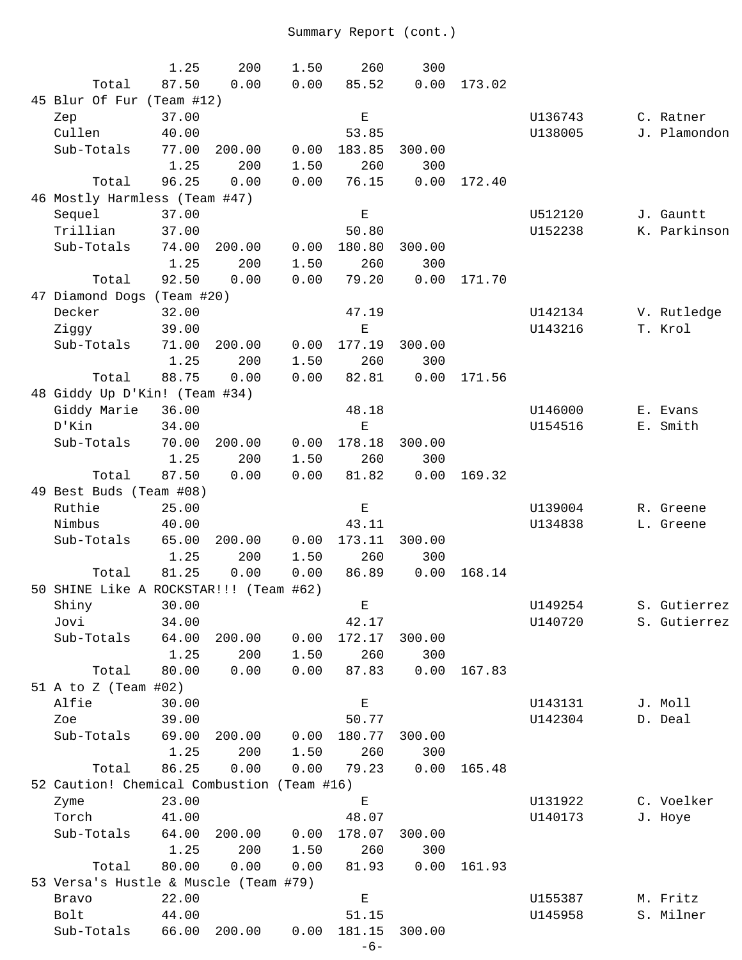|                                            | 1.25          | 200         | 1.50         | 260                                                                                            | 300         |        |         |              |
|--------------------------------------------|---------------|-------------|--------------|------------------------------------------------------------------------------------------------|-------------|--------|---------|--------------|
| Total                                      | 87.50         | 0.00        | 0.00         | 85.52                                                                                          | 0.00        | 173.02 |         |              |
| 45 Blur Of Fur (Team #12)                  |               |             |              |                                                                                                |             |        |         |              |
| Zep                                        | 37.00         |             |              | Е                                                                                              |             |        | U136743 | C. Ratner    |
| Cullen                                     | 40.00         |             |              | 53.85                                                                                          |             |        | U138005 | J. Plamondon |
| Sub-Totals                                 | 77.00         | 200.00      | 0.00         | 183.85                                                                                         | 300.00      |        |         |              |
|                                            | 1.25          | 200         | 1.50         | 260                                                                                            | 300         |        |         |              |
| Total                                      | 96.25         | 0.00        | 0.00         | 76.15                                                                                          | 0.00        | 172.40 |         |              |
| 46 Mostly Harmless (Team #47)              |               |             |              |                                                                                                |             |        |         |              |
| Sequel                                     | 37.00         |             |              | $\mathbf{E}% _{t}\left  \mathbf{1}\right\rangle =\mathbf{1}_{t}\left  \mathbf{1}\right\rangle$ |             |        | U512120 | J. Gauntt    |
| Trillian                                   | 37.00         |             |              | 50.80                                                                                          |             |        | U152238 | K. Parkinson |
| Sub-Totals                                 | 74.00         | 200.00      | 0.00         | 180.80                                                                                         | 300.00      |        |         |              |
|                                            | 1.25          | 200         | 1.50         | 260                                                                                            | 300         |        |         |              |
| Total                                      | 92.50         | 0.00        | 0.00         | 79.20                                                                                          | 0.00        | 171.70 |         |              |
| 47 Diamond Dogs (Team #20)                 |               |             |              |                                                                                                |             |        |         |              |
| Decker                                     | 32.00         |             |              | 47.19                                                                                          |             |        | U142134 | V. Rutledge  |
| Ziggy                                      | 39.00         |             |              | Ε                                                                                              |             |        | U143216 | T. Krol      |
| Sub-Totals                                 | 71.00         | 200.00      | 0.00         | 177.19                                                                                         | 300.00      |        |         |              |
|                                            | 1.25          | 200         | 1.50         | 260                                                                                            | 300         |        |         |              |
| Total                                      | 88.75         | 0.00        | 0.00         | 82.81                                                                                          | 0.00        | 171.56 |         |              |
| 48 Giddy Up D'Kin! (Team #34)              |               |             |              |                                                                                                |             |        |         |              |
| Giddy Marie                                | 36.00         |             |              | 48.18                                                                                          |             |        | U146000 | E. Evans     |
| D'Kin                                      | 34.00         |             |              | $\mathbf E$                                                                                    |             |        | U154516 | E. Smith     |
| Sub-Totals                                 | 70.00         | 200.00      | 0.00         | 178.18                                                                                         | 300.00      |        |         |              |
| Total                                      | 1.25<br>87.50 | 200<br>0.00 | 1.50<br>0.00 | 260<br>81.82                                                                                   | 300<br>0.00 | 169.32 |         |              |
| 49 Best Buds (Team #08)                    |               |             |              |                                                                                                |             |        |         |              |
| Ruthie                                     | 25.00         |             |              | Е                                                                                              |             |        | U139004 | R. Greene    |
| Nimbus                                     | 40.00         |             |              | 43.11                                                                                          |             |        | U134838 | L. Greene    |
| Sub-Totals                                 | 65.00         | 200.00      | 0.00         | 173.11                                                                                         | 300.00      |        |         |              |
|                                            | 1.25          | 200         | 1.50         | 260                                                                                            | 300         |        |         |              |
| Total                                      | 81.25         | 0.00        | 0.00         | 86.89                                                                                          | 0.00        | 168.14 |         |              |
| 50 SHINE Like A ROCKSTAR!!! (Team #62)     |               |             |              |                                                                                                |             |        |         |              |
| Shiny                                      | 30.00         |             |              | Е                                                                                              |             |        | U149254 | S. Gutierrez |
| Jovi                                       | 34.00         |             |              | 42.17                                                                                          |             |        | U140720 | S. Gutierrez |
| Sub-Totals                                 | 64.00         | 200.00      | 0.00         | 172.17                                                                                         | 300.00      |        |         |              |
|                                            | 1.25          | 200         | 1.50         | 260                                                                                            | 300         |        |         |              |
| Total                                      | 80.00         | 0.00        | 0.00         | 87.83                                                                                          | 0.00        | 167.83 |         |              |
| 51 A to Z (Team #02)                       |               |             |              |                                                                                                |             |        |         |              |
| Alfie                                      | 30.00         |             |              | $\mathbf E$                                                                                    |             |        | U143131 | J. Moll      |
| Zoe                                        | 39.00         |             |              | 50.77                                                                                          |             |        | U142304 | D. Deal      |
| Sub-Totals                                 | 69.00         | 200.00      | 0.00         | 180.77                                                                                         | 300.00      |        |         |              |
|                                            | 1.25          | 200         | 1.50         | 260                                                                                            | 300         |        |         |              |
| Total                                      | 86.25         | 0.00        | 0.00         | 79.23                                                                                          | 0.00        | 165.48 |         |              |
| 52 Caution! Chemical Combustion (Team #16) |               |             |              |                                                                                                |             |        |         |              |
| Zyme                                       | 23.00         |             |              | $\mathbf E$                                                                                    |             |        | U131922 | C. Voelker   |
| Torch                                      | 41.00         |             |              | 48.07                                                                                          |             |        | U140173 | J. Hoye      |
| Sub-Totals                                 | 64.00         | 200.00      | 0.00         | 178.07                                                                                         | 300.00      |        |         |              |
|                                            | 1.25          | 200         | 1.50         | 260                                                                                            | 300         |        |         |              |
| Total                                      | 80.00         | 0.00        | 0.00         | 81.93                                                                                          | 0.00        | 161.93 |         |              |
| 53 Versa's Hustle & Muscle (Team #79)      |               |             |              |                                                                                                |             |        |         |              |
| Bravo                                      | 22.00         |             |              | $\mathbf E$                                                                                    |             |        | U155387 | M. Fritz     |
| Bolt                                       | 44.00         |             |              | 51.15                                                                                          |             |        | U145958 | S. Milner    |
| Sub-Totals                                 | 66.00         | 200.00      | 0.00         | 181.15                                                                                         | 300.00      |        |         |              |
|                                            |               |             |              | $-6-$                                                                                          |             |        |         |              |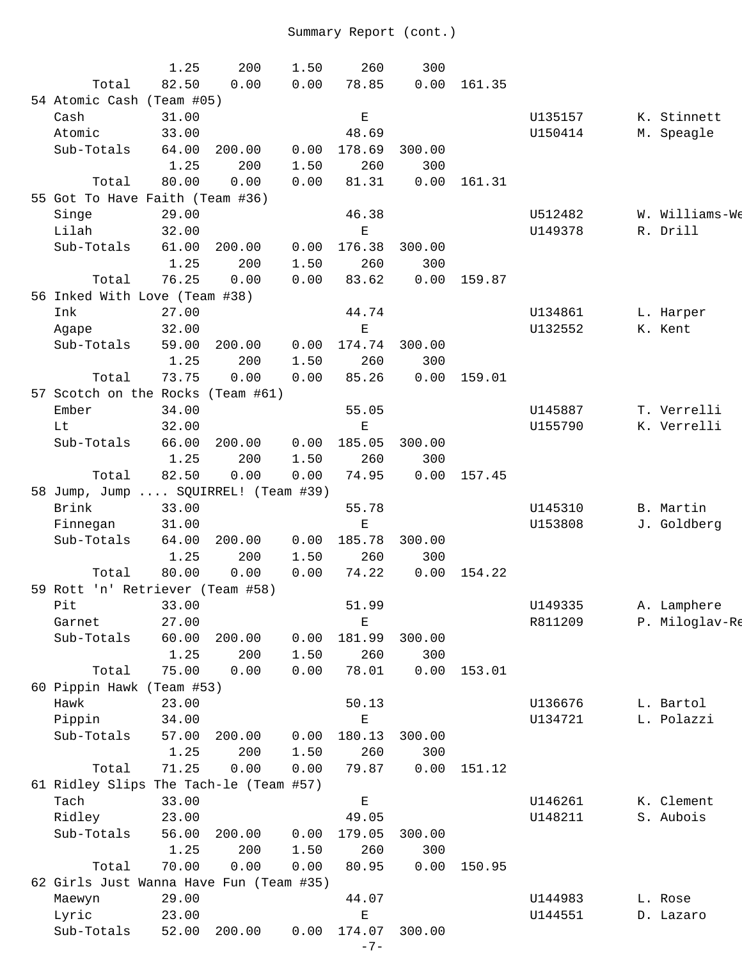|                                         | 1.25  | 200    | 1.50 | 260                                                                                            | 300    |        |         |                |
|-----------------------------------------|-------|--------|------|------------------------------------------------------------------------------------------------|--------|--------|---------|----------------|
| Total                                   | 82.50 | 0.00   | 0.00 | 78.85                                                                                          | 0.00   | 161.35 |         |                |
| 54 Atomic Cash (Team #05)               |       |        |      |                                                                                                |        |        |         |                |
| Cash                                    | 31.00 |        |      | $\mathbf E$                                                                                    |        |        | U135157 | K. Stinnett    |
| Atomic                                  | 33.00 |        |      | 48.69                                                                                          |        |        | U150414 | M. Speagle     |
| Sub-Totals                              | 64.00 | 200.00 | 0.00 | 178.69                                                                                         | 300.00 |        |         |                |
|                                         | 1.25  | 200    | 1.50 | 260                                                                                            | 300    |        |         |                |
| Total                                   | 80.00 | 0.00   | 0.00 | 81.31                                                                                          | 0.00   | 161.31 |         |                |
| 55 Got To Have Faith (Team #36)         |       |        |      |                                                                                                |        |        |         |                |
| Singe                                   | 29.00 |        |      | 46.38                                                                                          |        |        | U512482 | W. Williams-We |
| Lilah                                   | 32.00 |        |      | $\mathbf E$                                                                                    |        |        | U149378 | R. Drill       |
| Sub-Totals                              | 61.00 | 200.00 | 0.00 | 176.38                                                                                         | 300.00 |        |         |                |
|                                         | 1.25  | 200    | 1.50 | 260                                                                                            | 300    |        |         |                |
| Total                                   | 76.25 | 0.00   | 0.00 | 83.62                                                                                          | 0.00   | 159.87 |         |                |
| 56 Inked With Love (Team #38)           |       |        |      |                                                                                                |        |        |         |                |
| Ink                                     | 27.00 |        |      | 44.74                                                                                          |        |        | U134861 | L. Harper      |
| Agape                                   | 32.00 |        |      | $\mathbf E$                                                                                    |        |        | U132552 | K. Kent        |
| Sub-Totals                              | 59.00 | 200.00 | 0.00 | 174.74                                                                                         | 300.00 |        |         |                |
|                                         | 1.25  | 200    | 1.50 | 260                                                                                            | 300    |        |         |                |
| Total                                   | 73.75 | 0.00   | 0.00 | 85.26                                                                                          | 0.00   | 159.01 |         |                |
| 57 Scotch on the Rocks (Team #61)       |       |        |      |                                                                                                |        |        |         |                |
| Ember                                   | 34.00 |        |      | 55.05                                                                                          |        |        | U145887 | T. Verrelli    |
| Lt                                      | 32.00 |        |      | Е                                                                                              |        |        | U155790 | K. Verrelli    |
| Sub-Totals                              | 66.00 | 200.00 | 0.00 | 185.05                                                                                         | 300.00 |        |         |                |
|                                         | 1.25  | 200    | 1.50 | 260                                                                                            | 300    |        |         |                |
| Total                                   | 82.50 | 0.00   | 0.00 | 74.95                                                                                          | 0.00   | 157.45 |         |                |
| 58 Jump, Jump  SQUIRREL! (Team #39)     |       |        |      |                                                                                                |        |        |         |                |
| Brink                                   | 33.00 |        |      | 55.78                                                                                          |        |        | U145310 | B. Martin      |
| Finnegan                                | 31.00 |        |      | Е                                                                                              |        |        | U153808 | J. Goldberg    |
| Sub-Totals                              | 64.00 | 200.00 | 0.00 | 185.78                                                                                         | 300.00 |        |         |                |
|                                         | 1.25  | 200    | 1.50 | 260                                                                                            |        |        |         |                |
|                                         | 80.00 |        |      |                                                                                                | 300    |        |         |                |
| Total                                   |       | 0.00   | 0.00 | 74.22                                                                                          | 0.00   | 154.22 |         |                |
| 59 Rott 'n' Retriever (Team #58)        |       |        |      |                                                                                                |        |        |         |                |
| Pit                                     | 33.00 |        |      | 51.99                                                                                          |        |        | U149335 | A. Lamphere    |
| Garnet                                  | 27.00 |        |      | Е                                                                                              |        |        | R811209 | P. Miloglav-Re |
| Sub-Totals                              | 60.00 | 200.00 | 0.00 | 181.99                                                                                         | 300.00 |        |         |                |
|                                         | 1.25  | 200    | 1.50 | 260                                                                                            | 300    |        |         |                |
| Total                                   | 75.00 | 0.00   | 0.00 | 78.01                                                                                          | 0.00   | 153.01 |         |                |
| 60 Pippin Hawk (Team #53)               |       |        |      |                                                                                                |        |        |         |                |
| Hawk                                    | 23.00 |        |      | 50.13                                                                                          |        |        | U136676 | L. Bartol      |
| Pippin                                  | 34.00 |        |      | $\mathbf E$                                                                                    |        |        | U134721 | L. Polazzi     |
| Sub-Totals                              | 57.00 | 200.00 | 0.00 | 180.13                                                                                         | 300.00 |        |         |                |
|                                         | 1.25  | 200    | 1.50 | 260                                                                                            | 300    |        |         |                |
| Total                                   | 71.25 | 0.00   | 0.00 | 79.87                                                                                          | 0.00   | 151.12 |         |                |
| 61 Ridley Slips The Tach-le (Team #57)  |       |        |      |                                                                                                |        |        |         |                |
| Tach                                    | 33.00 |        |      | $\mathbf{E}% _{t}\left  \mathbf{1}\right\rangle =\mathbf{1}_{t}\left  \mathbf{1}\right\rangle$ |        |        | U146261 | K. Clement     |
| Ridley                                  | 23.00 |        |      | 49.05                                                                                          |        |        | U148211 | S. Aubois      |
| Sub-Totals                              | 56.00 | 200.00 | 0.00 | 179.05                                                                                         | 300.00 |        |         |                |
|                                         | 1.25  | 200    | 1.50 | 260                                                                                            | 300    |        |         |                |
| Total                                   | 70.00 | 0.00   | 0.00 | 80.95                                                                                          | 0.00   | 150.95 |         |                |
| 62 Girls Just Wanna Have Fun (Team #35) |       |        |      |                                                                                                |        |        |         |                |
| Maewyn                                  | 29.00 |        |      | 44.07                                                                                          |        |        | U144983 | L. Rose        |
| Lyric                                   | 23.00 |        |      | Ε                                                                                              |        |        | U144551 | D. Lazaro      |
| Sub-Totals                              | 52.00 | 200.00 | 0.00 | 174.07                                                                                         | 300.00 |        |         |                |
|                                         |       |        |      | $-7-$                                                                                          |        |        |         |                |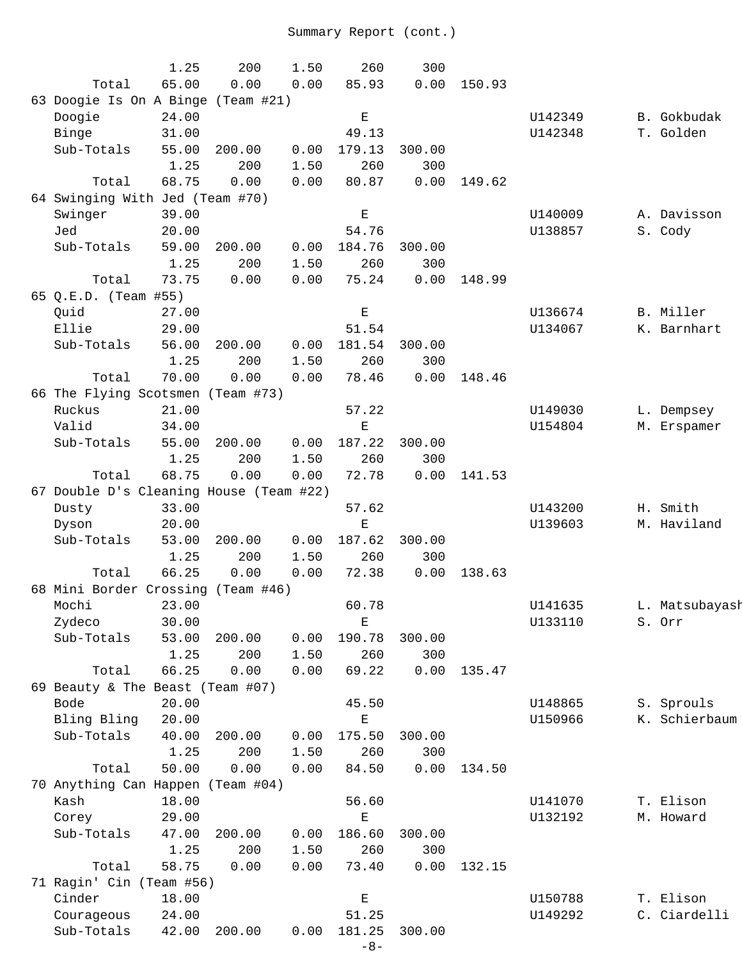|                                         | 1.25  | 200    | 1.50 | 260         | 300    |        |         |                |
|-----------------------------------------|-------|--------|------|-------------|--------|--------|---------|----------------|
| Total                                   | 65.00 | 0.00   | 0.00 | 85.93       | 0.00   | 150.93 |         |                |
| 63 Doogie Is On A Binge (Team #21)      |       |        |      |             |        |        |         |                |
| Doogie                                  | 24.00 |        |      | $\mathbf E$ |        |        | U142349 | B. Gokbudak    |
| Binge                                   | 31.00 |        |      | 49.13       |        |        | U142348 | T. Golden      |
| Sub-Totals                              | 55.00 | 200.00 | 0.00 | 179.13      | 300.00 |        |         |                |
|                                         | 1.25  | 200    | 1.50 | 260         | 300    |        |         |                |
| Total                                   | 68.75 | 0.00   | 0.00 | 80.87       | 0.00   | 149.62 |         |                |
| 64 Swinging With Jed (Team #70)         |       |        |      |             |        |        |         |                |
| Swinger                                 | 39.00 |        |      | Е           |        |        | U140009 | A. Davisson    |
| Jed                                     | 20.00 |        |      | 54.76       |        |        | U138857 | S. Cody        |
| Sub-Totals                              | 59.00 | 200.00 | 0.00 | 184.76      | 300.00 |        |         |                |
|                                         | 1.25  | 200    | 1.50 | 260         | 300    |        |         |                |
| Total                                   | 73.75 | 0.00   | 0.00 | 75.24       | 0.00   | 148.99 |         |                |
| 65 Q.E.D. (Team #55)                    |       |        |      |             |        |        |         |                |
| Quid                                    | 27.00 |        |      | Е           |        |        | U136674 | B. Miller      |
| Ellie                                   | 29.00 |        |      | 51.54       |        |        | U134067 | K. Barnhart    |
| Sub-Totals                              | 56.00 | 200.00 | 0.00 | 181.54      | 300.00 |        |         |                |
|                                         | 1.25  | 200    | 1.50 | 260         | 300    |        |         |                |
| Total                                   | 70.00 | 0.00   | 0.00 | 78.46       | 0.00   | 148.46 |         |                |
| 66 The Flying Scotsmen (Team #73)       |       |        |      |             |        |        |         |                |
| Ruckus                                  | 21.00 |        |      | 57.22       |        |        | U149030 | L. Dempsey     |
| Valid                                   | 34.00 |        |      | Е           |        |        | U154804 | M. Erspamer    |
| Sub-Totals                              | 55.00 | 200.00 | 0.00 | 187.22      | 300.00 |        |         |                |
|                                         | 1.25  | 200    | 1.50 | 260         | 300    |        |         |                |
| Total                                   | 68.75 | 0.00   | 0.00 | 72.78       | 0.00   | 141.53 |         |                |
| 67 Double D's Cleaning House (Team #22) |       |        |      |             |        |        |         |                |
| Dusty                                   | 33.00 |        |      | 57.62       |        |        | U143200 | H. Smith       |
| Dyson                                   | 20.00 |        |      | Е           |        |        | U139603 | M. Haviland    |
| Sub-Totals                              | 53.00 | 200.00 | 0.00 | 187.62      | 300.00 |        |         |                |
|                                         | 1.25  | 200    | 1.50 | 260         | 300    |        |         |                |
| Total                                   | 66.25 | 0.00   | 0.00 | 72.38       | 0.00   | 138.63 |         |                |
| 68 Mini Border Crossing (Team #46)      |       |        |      |             |        |        |         |                |
| Mochi                                   | 23.00 |        |      | 60.78       |        |        | U141635 | L. Matsubayash |
| Zydeco                                  | 30.00 |        |      | $\mathbf E$ |        |        | U133110 | S. Orr         |
| Sub-Totals                              | 53.00 | 200.00 | 0.00 | 190.78      | 300.00 |        |         |                |
|                                         | 1.25  | 200    | 1.50 | 260         | 300    |        |         |                |
| Total                                   | 66.25 | 0.00   | 0.00 | 69.22       | 0.00   | 135.47 |         |                |
| 69 Beauty & The Beast (Team #07)        |       |        |      |             |        |        |         |                |
| Bode                                    | 20.00 |        |      | 45.50       |        |        | U148865 | S. Sprouls     |
| Bling Bling                             | 20.00 |        |      | Е           |        |        | U150966 | K. Schierbaum  |
| Sub-Totals                              | 40.00 | 200.00 | 0.00 | 175.50      | 300.00 |        |         |                |
|                                         | 1.25  | 200    | 1.50 | 260         | 300    |        |         |                |
| Total                                   | 50.00 | 0.00   | 0.00 | 84.50       | 0.00   | 134.50 |         |                |
| 70 Anything Can Happen (Team #04)       |       |        |      |             |        |        |         |                |
| Kash                                    | 18.00 |        |      | 56.60       |        |        | U141070 | T. Elison      |
| Corey                                   | 29.00 |        |      | $\mathbf E$ |        |        | U132192 | M. Howard      |
| Sub-Totals                              | 47.00 | 200.00 | 0.00 | 186.60      | 300.00 |        |         |                |
|                                         | 1.25  | 200    | 1.50 | 260         | 300    |        |         |                |
| Total                                   | 58.75 | 0.00   | 0.00 | 73.40       | 0.00   | 132.15 |         |                |
| 71 Ragin' Cin (Team #56)                |       |        |      |             |        |        |         |                |
| Cinder                                  | 18.00 |        |      | $\mathbf E$ |        |        | U150788 | T. Elison      |
| Courageous                              | 24.00 |        |      | 51.25       |        |        | U149292 | C. Ciardelli   |
| Sub-Totals                              | 42.00 | 200.00 | 0.00 | 181.25      | 300.00 |        |         |                |
|                                         |       |        |      | $-8-$       |        |        |         |                |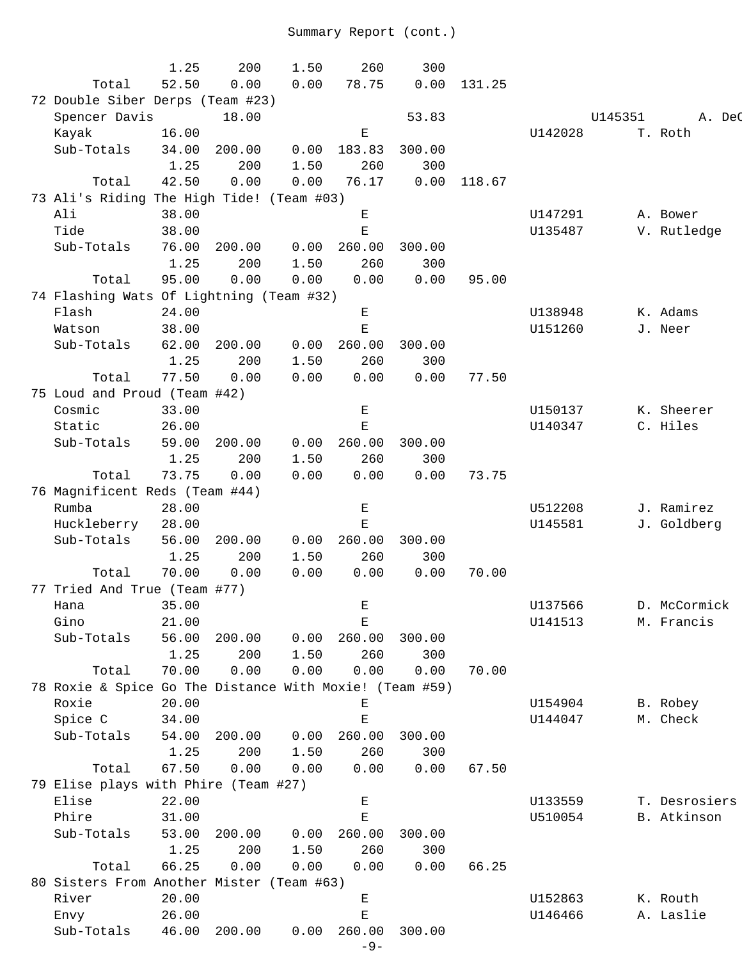|                                                         | 1.25  | 200    | 1.50 | 260                                                                                            | 300    |        |         |         |               |
|---------------------------------------------------------|-------|--------|------|------------------------------------------------------------------------------------------------|--------|--------|---------|---------|---------------|
| Total                                                   | 52.50 | 0.00   | 0.00 | 78.75                                                                                          | 0.00   | 131.25 |         |         |               |
| 72 Double Siber Derps (Team #23)                        |       |        |      |                                                                                                |        |        |         |         |               |
| Spencer Davis                                           |       | 18.00  |      |                                                                                                | 53.83  |        |         | U145351 | A. DeC        |
| Kayak                                                   | 16.00 |        |      | Ε                                                                                              |        |        | U142028 |         | T. Roth       |
| Sub-Totals                                              | 34.00 | 200.00 | 0.00 | 183.83                                                                                         | 300.00 |        |         |         |               |
|                                                         | 1.25  | 200    | 1.50 | 260                                                                                            | 300    |        |         |         |               |
| Total                                                   | 42.50 | 0.00   | 0.00 | 76.17                                                                                          | 0.00   | 118.67 |         |         |               |
| 73 Ali's Riding The High Tide! (Team #03)               |       |        |      |                                                                                                |        |        |         |         |               |
| Ali                                                     | 38.00 |        |      | Е                                                                                              |        |        | U147291 |         |               |
| Tide                                                    |       |        |      |                                                                                                |        |        | U135487 |         | A. Bower      |
|                                                         | 38.00 |        |      | Ε                                                                                              |        |        |         |         | V. Rutledge   |
| Sub-Totals                                              | 76.00 | 200.00 | 0.00 | 260.00                                                                                         | 300.00 |        |         |         |               |
|                                                         | 1.25  | 200    | 1.50 | 260                                                                                            | 300    |        |         |         |               |
| Total                                                   | 95.00 | 0.00   | 0.00 | 0.00                                                                                           | 0.00   | 95.00  |         |         |               |
| 74 Flashing Wats Of Lightning (Team #32)                |       |        |      |                                                                                                |        |        |         |         |               |
| Flash                                                   | 24.00 |        |      | Е                                                                                              |        |        | U138948 |         | K. Adams      |
| Watson                                                  | 38.00 |        |      | $\mathbf E$                                                                                    |        |        | U151260 |         | J. Neer       |
| Sub-Totals                                              | 62.00 | 200.00 | 0.00 | 260.00                                                                                         | 300.00 |        |         |         |               |
|                                                         | 1.25  | 200    | 1.50 | 260                                                                                            | 300    |        |         |         |               |
| Total                                                   | 77.50 | 0.00   | 0.00 | 0.00                                                                                           | 0.00   | 77.50  |         |         |               |
| 75 Loud and Proud (Team #42)                            |       |        |      |                                                                                                |        |        |         |         |               |
| Cosmic                                                  | 33.00 |        |      | Е                                                                                              |        |        | U150137 |         | K. Sheerer    |
| Static                                                  | 26.00 |        |      | $\mathbf E$                                                                                    |        |        | U140347 |         | C. Hiles      |
| Sub-Totals                                              | 59.00 | 200.00 | 0.00 | 260.00                                                                                         | 300.00 |        |         |         |               |
|                                                         | 1.25  | 200    | 1.50 | 260                                                                                            | 300    |        |         |         |               |
| Total                                                   | 73.75 | 0.00   | 0.00 | 0.00                                                                                           | 0.00   | 73.75  |         |         |               |
| 76 Magnificent Reds (Team #44)                          |       |        |      |                                                                                                |        |        |         |         |               |
| Rumba                                                   | 28.00 |        |      | Е                                                                                              |        |        | U512208 |         | J. Ramirez    |
| Huckleberry                                             | 28.00 |        |      | $\mathbf E$                                                                                    |        |        | U145581 |         | J. Goldberg   |
| Sub-Totals                                              | 56.00 | 200.00 | 0.00 | 260.00                                                                                         | 300.00 |        |         |         |               |
|                                                         | 1.25  | 200    | 1.50 | 260                                                                                            | 300    |        |         |         |               |
| Total                                                   | 70.00 | 0.00   | 0.00 | 0.00                                                                                           | 0.00   | 70.00  |         |         |               |
| 77 Tried And True (Team #77)                            |       |        |      |                                                                                                |        |        |         |         |               |
| Hana tana                                               | 35.00 |        |      | E.                                                                                             |        |        | U137566 |         | D. McCormick  |
| Gino                                                    | 21.00 |        |      | Ε                                                                                              |        |        | U141513 |         | M. Francis    |
| Sub-Totals                                              | 56.00 | 200.00 | 0.00 | 260.00                                                                                         | 300.00 |        |         |         |               |
|                                                         | 1.25  | 200    | 1.50 | 260                                                                                            | 300    |        |         |         |               |
|                                                         |       |        |      |                                                                                                |        |        |         |         |               |
| Total                                                   | 70.00 | 0.00   | 0.00 | 0.00                                                                                           | 0.00   | 70.00  |         |         |               |
| 78 Roxie & Spice Go The Distance With Moxie! (Team #59) |       |        |      |                                                                                                |        |        |         |         |               |
| Roxie                                                   | 20.00 |        |      | Е                                                                                              |        |        | U154904 |         | B. Robey      |
| Spice C                                                 | 34.00 |        |      | $\mathbf E$                                                                                    |        |        | U144047 |         | M. Check      |
| Sub-Totals                                              | 54.00 | 200.00 | 0.00 | 260.00                                                                                         | 300.00 |        |         |         |               |
|                                                         | 1.25  | 200    | 1.50 | 260                                                                                            | 300    |        |         |         |               |
| Total                                                   | 67.50 | 0.00   | 0.00 | 0.00                                                                                           | 0.00   | 67.50  |         |         |               |
| 79 Elise plays with Phire (Team #27)                    |       |        |      |                                                                                                |        |        |         |         |               |
| Elise                                                   | 22.00 |        |      | $\mathbf{E}% _{0}$                                                                             |        |        | U133559 |         | T. Desrosiers |
| Phire                                                   | 31.00 |        |      | $\mathbf{E}% _{t}\left  \mathbf{1}\right\rangle =\mathbf{1}_{t}\left  \mathbf{1}\right\rangle$ |        |        | U510054 |         | B. Atkinson   |
| Sub-Totals                                              | 53.00 | 200.00 | 0.00 | 260.00                                                                                         | 300.00 |        |         |         |               |
|                                                         | 1.25  | 200    | 1.50 | 260                                                                                            | 300    |        |         |         |               |
| Total                                                   | 66.25 | 0.00   | 0.00 | 0.00                                                                                           | 0.00   | 66.25  |         |         |               |
| 80 Sisters From Another Mister (Team #63)               |       |        |      |                                                                                                |        |        |         |         |               |
| River                                                   | 20.00 |        |      | Е                                                                                              |        |        | U152863 |         | K. Routh      |
| Envy                                                    | 26.00 |        |      | Ε                                                                                              |        |        | U146466 |         | A. Laslie     |
| Sub-Totals                                              | 46.00 | 200.00 | 0.00 | 260.00                                                                                         | 300.00 |        |         |         |               |
|                                                         |       |        |      | $-9-$                                                                                          |        |        |         |         |               |